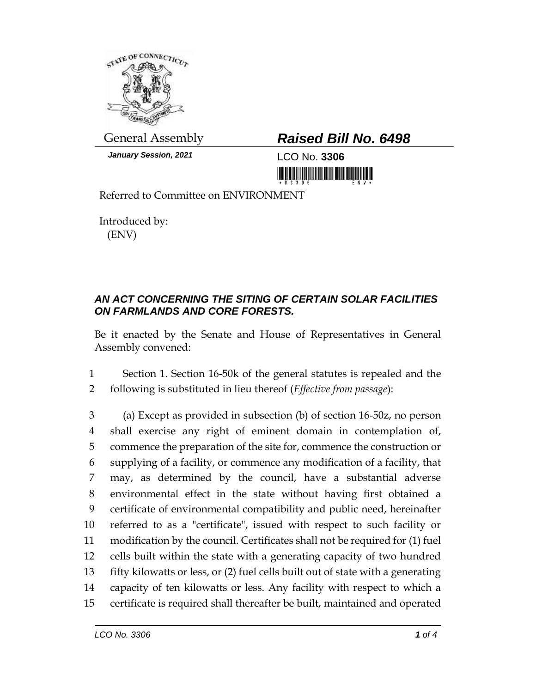

*January Session, 2021* LCO No. **3306**

## General Assembly *Raised Bill No. 6498*

<u>ni bilini bilini bilinin bilinin bilinin bilini</u>

Referred to Committee on ENVIRONMENT

Introduced by: (ENV)

## *AN ACT CONCERNING THE SITING OF CERTAIN SOLAR FACILITIES ON FARMLANDS AND CORE FORESTS.*

Be it enacted by the Senate and House of Representatives in General Assembly convened:

1 Section 1. Section 16-50k of the general statutes is repealed and the 2 following is substituted in lieu thereof (*Effective from passage*):

 (a) Except as provided in subsection (b) of section 16-50z, no person shall exercise any right of eminent domain in contemplation of, commence the preparation of the site for, commence the construction or supplying of a facility, or commence any modification of a facility, that may, as determined by the council, have a substantial adverse environmental effect in the state without having first obtained a certificate of environmental compatibility and public need, hereinafter referred to as a "certificate", issued with respect to such facility or modification by the council. Certificates shall not be required for (1) fuel cells built within the state with a generating capacity of two hundred fifty kilowatts or less, or (2) fuel cells built out of state with a generating capacity of ten kilowatts or less. Any facility with respect to which a certificate is required shall thereafter be built, maintained and operated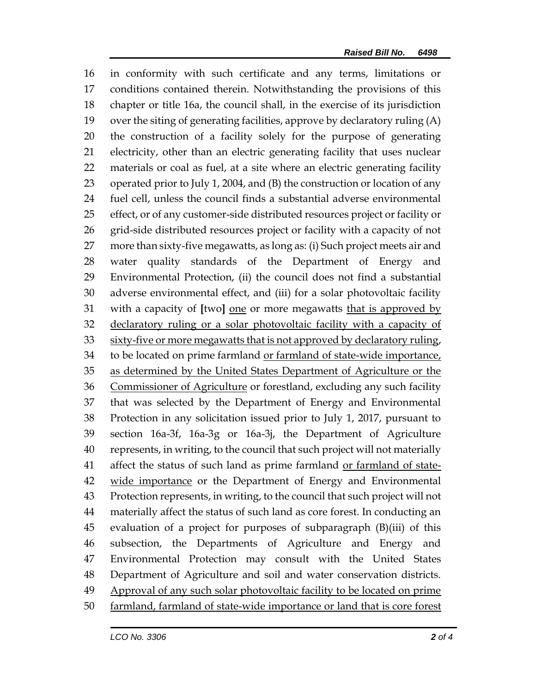in conformity with such certificate and any terms, limitations or conditions contained therein. Notwithstanding the provisions of this chapter or title 16a, the council shall, in the exercise of its jurisdiction over the siting of generating facilities, approve by declaratory ruling (A) the construction of a facility solely for the purpose of generating electricity, other than an electric generating facility that uses nuclear materials or coal as fuel, at a site where an electric generating facility operated prior to July 1, 2004, and (B) the construction or location of any fuel cell, unless the council finds a substantial adverse environmental effect, or of any customer-side distributed resources project or facility or grid-side distributed resources project or facility with a capacity of not more than sixty-five megawatts, as long as: (i) Such project meets air and water quality standards of the Department of Energy and Environmental Protection, (ii) the council does not find a substantial adverse environmental effect, and (iii) for a solar photovoltaic facility with a capacity of **[**two**]** one or more megawatts that is approved by declaratory ruling or a solar photovoltaic facility with a capacity of 33 sixty-five or more megawatts that is not approved by declaratory ruling, to be located on prime farmland or farmland of state-wide importance, as determined by the United States Department of Agriculture or the Commissioner of Agriculture or forestland, excluding any such facility that was selected by the Department of Energy and Environmental Protection in any solicitation issued prior to July 1, 2017, pursuant to section 16a-3f, 16a-3g or 16a-3j, the Department of Agriculture represents, in writing, to the council that such project will not materially 41 affect the status of such land as prime farmland or farmland of state- wide importance or the Department of Energy and Environmental Protection represents, in writing, to the council that such project will not materially affect the status of such land as core forest. In conducting an evaluation of a project for purposes of subparagraph (B)(iii) of this subsection, the Departments of Agriculture and Energy and Environmental Protection may consult with the United States Department of Agriculture and soil and water conservation districts. 49 Approval of any such solar photovoltaic facility to be located on prime farmland, farmland of state-wide importance or land that is core forest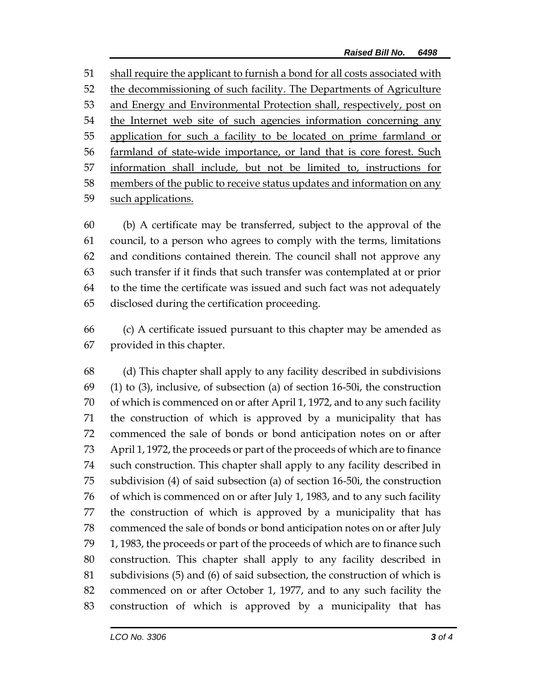shall require the applicant to furnish a bond for all costs associated with the decommissioning of such facility. The Departments of Agriculture 53 and Energy and Environmental Protection shall, respectively, post on the Internet web site of such agencies information concerning any application for such a facility to be located on prime farmland or farmland of state-wide importance, or land that is core forest. Such information shall include, but not be limited to, instructions for members of the public to receive status updates and information on any such applications.

 (b) A certificate may be transferred, subject to the approval of the council, to a person who agrees to comply with the terms, limitations and conditions contained therein. The council shall not approve any such transfer if it finds that such transfer was contemplated at or prior to the time the certificate was issued and such fact was not adequately disclosed during the certification proceeding.

 (c) A certificate issued pursuant to this chapter may be amended as provided in this chapter.

 (d) This chapter shall apply to any facility described in subdivisions (1) to (3), inclusive, of subsection (a) of section 16-50i, the construction of which is commenced on or after April 1, 1972, and to any such facility the construction of which is approved by a municipality that has commenced the sale of bonds or bond anticipation notes on or after April 1, 1972, the proceeds or part of the proceeds of which are to finance such construction. This chapter shall apply to any facility described in subdivision (4) of said subsection (a) of section 16-50i, the construction of which is commenced on or after July 1, 1983, and to any such facility the construction of which is approved by a municipality that has commenced the sale of bonds or bond anticipation notes on or after July 1, 1983, the proceeds or part of the proceeds of which are to finance such construction. This chapter shall apply to any facility described in subdivisions (5) and (6) of said subsection, the construction of which is commenced on or after October 1, 1977, and to any such facility the construction of which is approved by a municipality that has